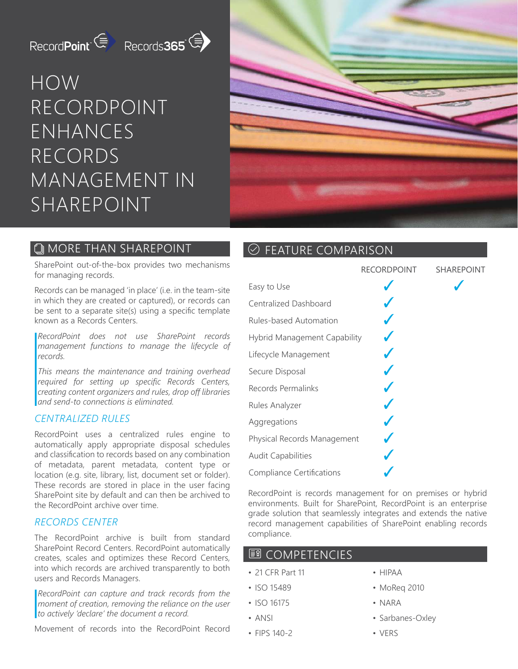# RecordPoint ( Records 365

# HOW RECORDPOINT ENHANCES RECORDS MANAGEMENT IN SHAREPOINT



## **COMPTER THAN SHAREPOINT**

#### SharePoint out-of-the-box provides two mechanisms for managing records.

Records can be managed 'in place' (i.e. in the team-site in which they are created or captured), or records can be sent to a separate site(s) using a specific template known as a Records Centers.

*RecordPoint does not use SharePoint records management functions to manage the lifecycle of records.* 

*This means the maintenance and training overhead required for setting up specific Records Centers, creating content organizers and rules, drop off libraries and send-to connections is eliminated.*

### *CENTRALIZED RULES*

RecordPoint uses a centralized rules engine to automatically apply appropriate disposal schedules and classification to records based on any combination of metadata, parent metadata, content type or location (e.g. site, library, list, document set or folder). These records are stored in place in the user facing SharePoint site by default and can then be archived to the RecordPoint archive over time.

#### *RECORDS CENTER*

The RecordPoint archive is built from standard SharePoint Record Centers. RecordPoint automatically creates, scales and optimizes these Record Centers, into which records are archived transparently to both users and Records Managers.

*RecordPoint can capture and track records from the moment of creation, removing the reliance on the user to actively 'declare' the document a record.*

Movement of records into the RecordPoint Record

## $\odot$  FEATURE COMPARISON

|                              | RECORDPOINT | <b>SHAREPOINT</b> |
|------------------------------|-------------|-------------------|
| Easy to Use                  |             |                   |
| Centralized Dashboard        |             |                   |
| Rules-based Automation       |             |                   |
| Hybrid Management Capability |             |                   |
| Lifecycle Management         |             |                   |
| Secure Disposal              |             |                   |
| Records Permalinks           |             |                   |
| Rules Analyzer               |             |                   |
| Aggregations                 |             |                   |
| Physical Records Management  |             |                   |
| <b>Audit Capabilities</b>    |             |                   |
| Compliance Certifications    |             |                   |

RecordPoint is records management for on premises or hybrid environments. Built for SharePoint, RecordPoint is an enterprise grade solution that seamlessly integrates and extends the native record management capabilities of SharePoint enabling records compliance.

### **图 COMPETENCIES**

- 21 CFR Part 11
- ISO 15489
- ISO 16175
- ANSI
- FIPS 140-2
- HIPAA
- MoReq 2010
- NARA
- Sarbanes-Oxley
- VERS